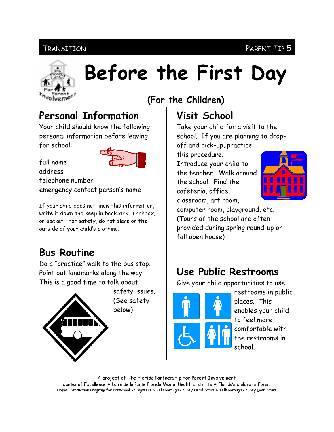#### **TRANSITION**



# Before the First Day

### (For the Children)

# **Personal Information**

Your child should know the following personal information before leaving for school:

full name address



telephone number emergency contact person's name

If your child does not know this information, write it down and keep in backpack, lunchbox, or pocket. For safety, do not place on the outside of your child's clothing.

#### **Bus Routine**

Do a "practice" walk to the bus stop. Point out landmarks along the way. This is a good time to talk about



# **Visit School**

Take your child for a visit to the school. If you are planning to dropoff and pick-up, practice

this procedure.

Introduce your child to the teacher. Walk around the school. Find the cafeteria, office, classroom, art room,



computer room, playground, etc. (Tours of the school are often provided during spring round-up or fall open house)

# Use Public Restrooms

Give your child opportunities to use



restrooms in public places. This enables your child to feel more comfortable with the restrooms in school

A project of The Florida Partnership for Parent Involvement Center of Excellence ◆ Louis de la Parte Florida Mental Health Institute ◆ Florida's Children's Forum Home Instruction Program for Preschool Youngsters & Hillsborough County Head Start & Hillsborough County Even Start

PARENT TIP 5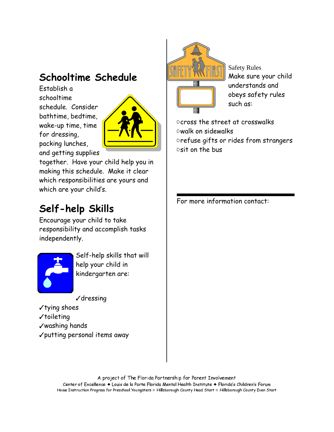### Schooltime Schedule

Establish a schooltime schedule. Consider bathtime, bedtime, wake-up time, time for dressing, packing lunches, and getting supplies



together. Have your child help you in making this schedule. Make it clear which responsibilities are yours and which are your child's.

# Self-help Skills

Encourage your child to take responsibility and accomplish tasks independently.



Self-help skills that will help your child in kindergarten are:

 $\sqrt{d}$ ressing

- √tying shoes
- $\checkmark$  toileting
- √washing hands
- √putting personal items away



**Safety Rules** Make sure your child understands and obeys safety rules such as:

Ocross the street at crosswalks **Owalk on sidewalks** 

prefuse gifts or rides from strangers  $\circ$ sit on the bus

For more information contact:

A project of The Florida Partnership for Parent Involvement Center of Excellence ♦ Louis de la Parte Florida Mental Health Institute ♦ Florida's Children's Forum Home Instruction Program for Preschool Youngsters & Hillsborough County Head Start & Hillsborough County Even Start